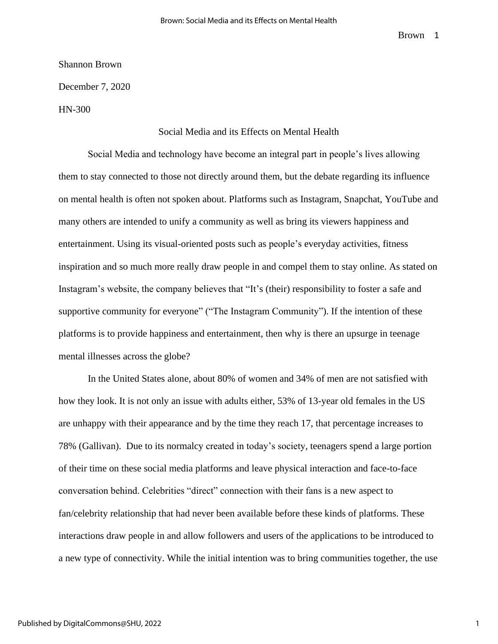Shannon Brown

December 7, 2020

HN-300

## Social Media and its Effects on Mental Health

Social Media and technology have become an integral part in people's lives allowing them to stay connected to those not directly around them, but the debate regarding its influence on mental health is often not spoken about. Platforms such as Instagram, Snapchat, YouTube and many others are intended to unify a community as well as bring its viewers happiness and entertainment. Using its visual-oriented posts such as people's everyday activities, fitness inspiration and so much more really draw people in and compel them to stay online. As stated on Instagram's website, the company believes that "It's (their) responsibility to foster a safe and supportive community for everyone" ("The Instagram Community"). If the intention of these platforms is to provide happiness and entertainment, then why is there an upsurge in teenage mental illnesses across the globe?

In the United States alone, about 80% of women and 34% of men are not satisfied with how they look. It is not only an issue with adults either, 53% of 13-year old females in the US are unhappy with their appearance and by the time they reach 17, that percentage increases to 78% (Gallivan). Due to its normalcy created in today's society, teenagers spend a large portion of their time on these social media platforms and leave physical interaction and face-to-face conversation behind. Celebrities "direct" connection with their fans is a new aspect to fan/celebrity relationship that had never been available before these kinds of platforms. These interactions draw people in and allow followers and users of the applications to be introduced to a new type of connectivity. While the initial intention was to bring communities together, the use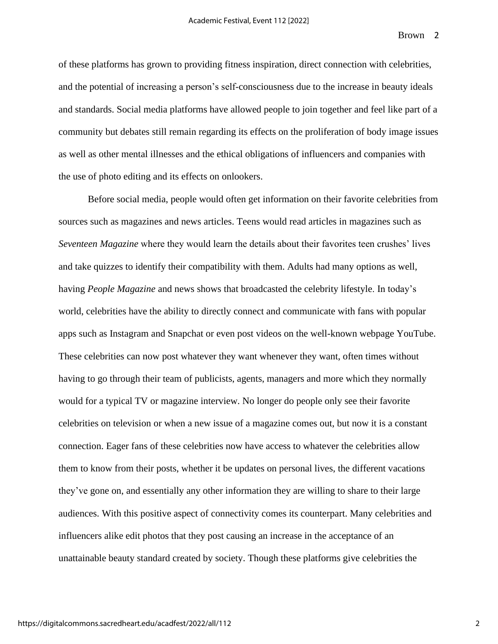of these platforms has grown to providing fitness inspiration, direct connection with celebrities, and the potential of increasing a person's self-consciousness due to the increase in beauty ideals and standards. Social media platforms have allowed people to join together and feel like part of a community but debates still remain regarding its effects on the proliferation of body image issues as well as other mental illnesses and the ethical obligations of influencers and companies with the use of photo editing and its effects on onlookers.

Before social media, people would often get information on their favorite celebrities from sources such as magazines and news articles. Teens would read articles in magazines such as *Seventeen Magazine* where they would learn the details about their favorites teen crushes' lives and take quizzes to identify their compatibility with them. Adults had many options as well, having *People Magazine* and news shows that broadcasted the celebrity lifestyle. In today's world, celebrities have the ability to directly connect and communicate with fans with popular apps such as Instagram and Snapchat or even post videos on the well-known webpage YouTube. These celebrities can now post whatever they want whenever they want, often times without having to go through their team of publicists, agents, managers and more which they normally would for a typical TV or magazine interview. No longer do people only see their favorite celebrities on television or when a new issue of a magazine comes out, but now it is a constant connection. Eager fans of these celebrities now have access to whatever the celebrities allow them to know from their posts, whether it be updates on personal lives, the different vacations they've gone on, and essentially any other information they are willing to share to their large audiences. With this positive aspect of connectivity comes its counterpart. Many celebrities and influencers alike edit photos that they post causing an increase in the acceptance of an unattainable beauty standard created by society. Though these platforms give celebrities the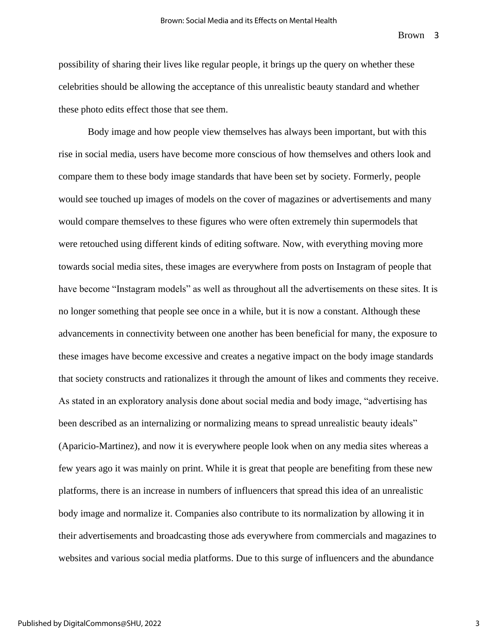possibility of sharing their lives like regular people, it brings up the query on whether these celebrities should be allowing the acceptance of this unrealistic beauty standard and whether these photo edits effect those that see them.

Body image and how people view themselves has always been important, but with this rise in social media, users have become more conscious of how themselves and others look and compare them to these body image standards that have been set by society. Formerly, people would see touched up images of models on the cover of magazines or advertisements and many would compare themselves to these figures who were often extremely thin supermodels that were retouched using different kinds of editing software. Now, with everything moving more towards social media sites, these images are everywhere from posts on Instagram of people that have become "Instagram models" as well as throughout all the advertisements on these sites. It is no longer something that people see once in a while, but it is now a constant. Although these advancements in connectivity between one another has been beneficial for many, the exposure to these images have become excessive and creates a negative impact on the body image standards that society constructs and rationalizes it through the amount of likes and comments they receive. As stated in an exploratory analysis done about social media and body image, "advertising has been described as an internalizing or normalizing means to spread unrealistic beauty ideals" (Aparicio-Martinez), and now it is everywhere people look when on any media sites whereas a few years ago it was mainly on print. While it is great that people are benefiting from these new platforms, there is an increase in numbers of influencers that spread this idea of an unrealistic body image and normalize it. Companies also contribute to its normalization by allowing it in their advertisements and broadcasting those ads everywhere from commercials and magazines to websites and various social media platforms. Due to this surge of influencers and the abundance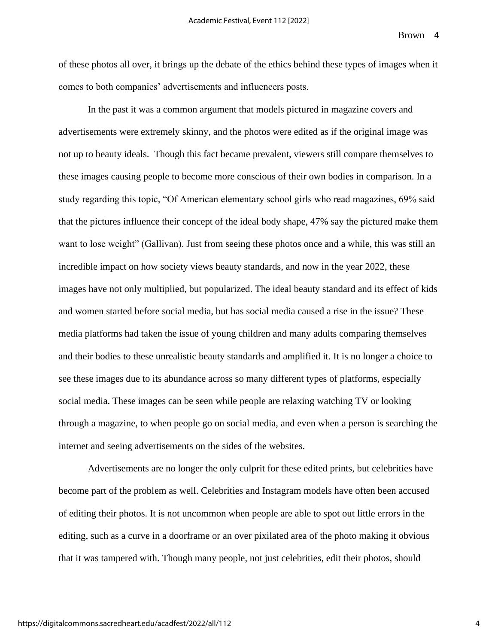of these photos all over, it brings up the debate of the ethics behind these types of images when it comes to both companies' advertisements and influencers posts.

In the past it was a common argument that models pictured in magazine covers and advertisements were extremely skinny, and the photos were edited as if the original image was not up to beauty ideals. Though this fact became prevalent, viewers still compare themselves to these images causing people to become more conscious of their own bodies in comparison. In a study regarding this topic, "Of American elementary school girls who read magazines, 69% said that the pictures influence their concept of the ideal body shape, 47% say the pictured make them want to lose weight" (Gallivan). Just from seeing these photos once and a while, this was still an incredible impact on how society views beauty standards, and now in the year 2022, these images have not only multiplied, but popularized. The ideal beauty standard and its effect of kids and women started before social media, but has social media caused a rise in the issue? These media platforms had taken the issue of young children and many adults comparing themselves and their bodies to these unrealistic beauty standards and amplified it. It is no longer a choice to see these images due to its abundance across so many different types of platforms, especially social media. These images can be seen while people are relaxing watching TV or looking through a magazine, to when people go on social media, and even when a person is searching the internet and seeing advertisements on the sides of the websites.

Advertisements are no longer the only culprit for these edited prints, but celebrities have become part of the problem as well. Celebrities and Instagram models have often been accused of editing their photos. It is not uncommon when people are able to spot out little errors in the editing, such as a curve in a doorframe or an over pixilated area of the photo making it obvious that it was tampered with. Though many people, not just celebrities, edit their photos, should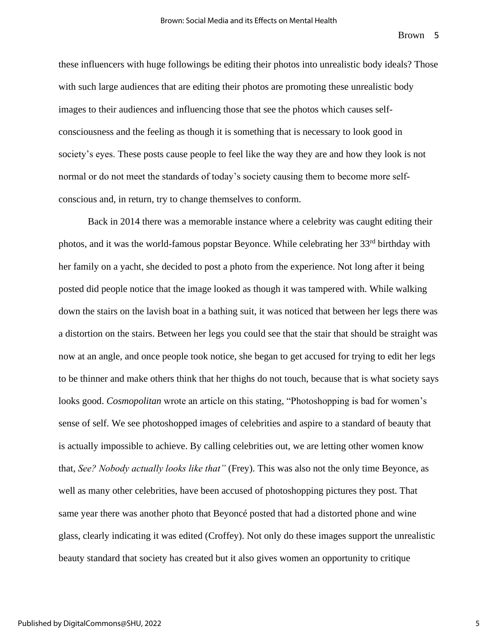these influencers with huge followings be editing their photos into unrealistic body ideals? Those with such large audiences that are editing their photos are promoting these unrealistic body images to their audiences and influencing those that see the photos which causes selfconsciousness and the feeling as though it is something that is necessary to look good in society's eyes. These posts cause people to feel like the way they are and how they look is not normal or do not meet the standards of today's society causing them to become more selfconscious and, in return, try to change themselves to conform.

Back in 2014 there was a memorable instance where a celebrity was caught editing their photos, and it was the world-famous popstar Beyonce. While celebrating her 33<sup>rd</sup> birthday with her family on a yacht, she decided to post a photo from the experience. Not long after it being posted did people notice that the image looked as though it was tampered with. While walking down the stairs on the lavish boat in a bathing suit, it was noticed that between her legs there was a distortion on the stairs. Between her legs you could see that the stair that should be straight was now at an angle, and once people took notice, she began to get accused for trying to edit her legs to be thinner and make others think that her thighs do not touch, because that is what society says looks good. *Cosmopolitan* wrote an article on this stating, "Photoshopping is bad for women's sense of self. We see photoshopped images of celebrities and aspire to a standard of beauty that is actually impossible to achieve. By calling celebrities out, we are letting other women know that, *See? Nobody actually looks like that"* (Frey). This was also not the only time Beyonce, as well as many other celebrities, have been accused of photoshopping pictures they post. That same year there was another photo that Beyoncé posted that had a distorted phone and wine glass, clearly indicating it was edited (Croffey). Not only do these images support the unrealistic beauty standard that society has created but it also gives women an opportunity to critique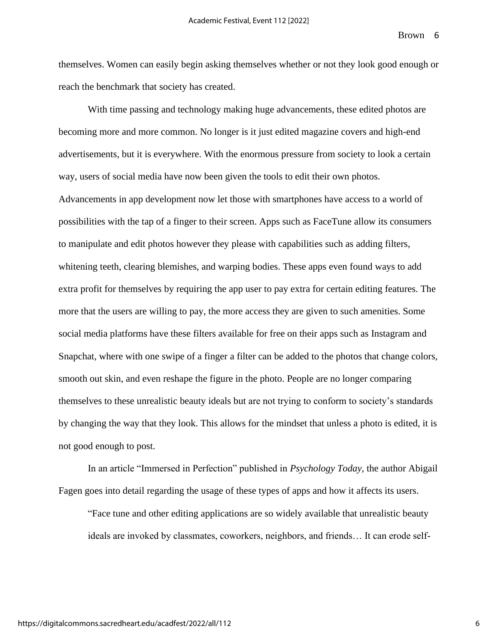themselves. Women can easily begin asking themselves whether or not they look good enough or reach the benchmark that society has created.

With time passing and technology making huge advancements, these edited photos are becoming more and more common. No longer is it just edited magazine covers and high-end advertisements, but it is everywhere. With the enormous pressure from society to look a certain way, users of social media have now been given the tools to edit their own photos. Advancements in app development now let those with smartphones have access to a world of possibilities with the tap of a finger to their screen. Apps such as FaceTune allow its consumers to manipulate and edit photos however they please with capabilities such as adding filters, whitening teeth, clearing blemishes, and warping bodies. These apps even found ways to add extra profit for themselves by requiring the app user to pay extra for certain editing features. The more that the users are willing to pay, the more access they are given to such amenities. Some social media platforms have these filters available for free on their apps such as Instagram and Snapchat, where with one swipe of a finger a filter can be added to the photos that change colors, smooth out skin, and even reshape the figure in the photo. People are no longer comparing themselves to these unrealistic beauty ideals but are not trying to conform to society's standards by changing the way that they look. This allows for the mindset that unless a photo is edited, it is not good enough to post.

In an article "Immersed in Perfection" published in *Psychology Today,* the author Abigail Fagen goes into detail regarding the usage of these types of apps and how it affects its users.

"Face tune and other editing applications are so widely available that unrealistic beauty ideals are invoked by classmates, coworkers, neighbors, and friends… It can erode self-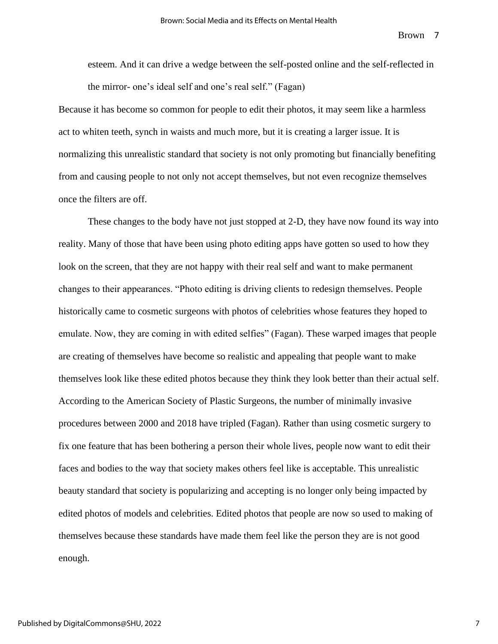esteem. And it can drive a wedge between the self-posted online and the self-reflected in the mirror- one's ideal self and one's real self." (Fagan)

Because it has become so common for people to edit their photos, it may seem like a harmless act to whiten teeth, synch in waists and much more, but it is creating a larger issue. It is normalizing this unrealistic standard that society is not only promoting but financially benefiting from and causing people to not only not accept themselves, but not even recognize themselves once the filters are off.

These changes to the body have not just stopped at 2-D, they have now found its way into reality. Many of those that have been using photo editing apps have gotten so used to how they look on the screen, that they are not happy with their real self and want to make permanent changes to their appearances. "Photo editing is driving clients to redesign themselves. People historically came to cosmetic surgeons with photos of celebrities whose features they hoped to emulate. Now, they are coming in with edited selfies" (Fagan). These warped images that people are creating of themselves have become so realistic and appealing that people want to make themselves look like these edited photos because they think they look better than their actual self. According to the American Society of Plastic Surgeons, the number of minimally invasive procedures between 2000 and 2018 have tripled (Fagan). Rather than using cosmetic surgery to fix one feature that has been bothering a person their whole lives, people now want to edit their faces and bodies to the way that society makes others feel like is acceptable. This unrealistic beauty standard that society is popularizing and accepting is no longer only being impacted by edited photos of models and celebrities. Edited photos that people are now so used to making of themselves because these standards have made them feel like the person they are is not good enough.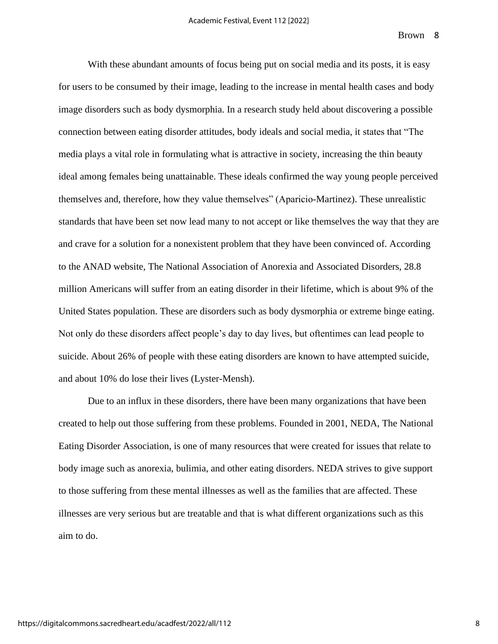With these abundant amounts of focus being put on social media and its posts, it is easy for users to be consumed by their image, leading to the increase in mental health cases and body image disorders such as body dysmorphia. In a research study held about discovering a possible connection between eating disorder attitudes, body ideals and social media, it states that "The media plays a vital role in formulating what is attractive in society, increasing the thin beauty ideal among females being unattainable. These ideals confirmed the way young people perceived themselves and, therefore, how they value themselves" (Aparicio-Martinez). These unrealistic standards that have been set now lead many to not accept or like themselves the way that they are and crave for a solution for a nonexistent problem that they have been convinced of. According to the ANAD website, The National Association of Anorexia and Associated Disorders, 28.8 million Americans will suffer from an eating disorder in their lifetime, which is about 9% of the United States population. These are disorders such as body dysmorphia or extreme binge eating. Not only do these disorders affect people's day to day lives, but oftentimes can lead people to suicide. About 26% of people with these eating disorders are known to have attempted suicide, and about 10% do lose their lives (Lyster-Mensh).

Due to an influx in these disorders, there have been many organizations that have been created to help out those suffering from these problems. Founded in 2001, NEDA, The National Eating Disorder Association, is one of many resources that were created for issues that relate to body image such as anorexia, bulimia, and other eating disorders. NEDA strives to give support to those suffering from these mental illnesses as well as the families that are affected. These illnesses are very serious but are treatable and that is what different organizations such as this aim to do.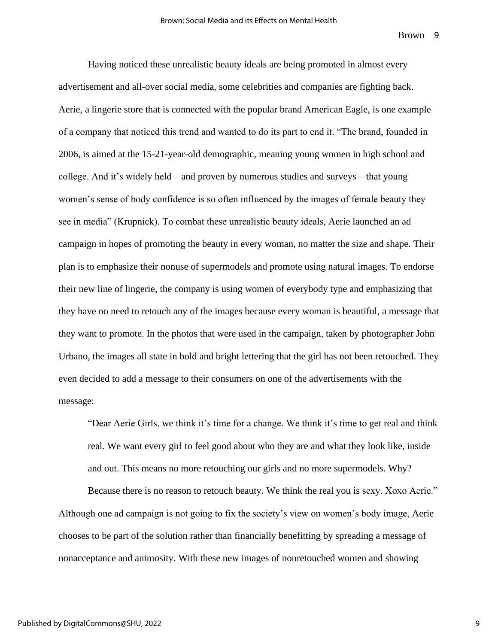Having noticed these unrealistic beauty ideals are being promoted in almost every advertisement and all-over social media, some celebrities and companies are fighting back. Aerie, a lingerie store that is connected with the popular brand American Eagle, is one example of a company that noticed this trend and wanted to do its part to end it. "The brand, founded in 2006, is aimed at the 15-21-year-old demographic, meaning young women in high school and college. And it's widely held – and proven by numerous studies and surveys – that young women's sense of body confidence is so often influenced by the images of female beauty they see in media" (Krupnick). To combat these unrealistic beauty ideals, Aerie launched an ad campaign in hopes of promoting the beauty in every woman, no matter the size and shape. Their plan is to emphasize their nonuse of supermodels and promote using natural images. To endorse their new line of lingerie, the company is using women of everybody type and emphasizing that they have no need to retouch any of the images because every woman is beautiful, a message that they want to promote. In the photos that were used in the campaign, taken by photographer John Urbano, the images all state in bold and bright lettering that the girl has not been retouched. They even decided to add a message to their consumers on one of the advertisements with the message:

"Dear Aerie Girls, we think it's time for a change. We think it's time to get real and think real. We want every girl to feel good about who they are and what they look like, inside and out. This means no more retouching our girls and no more supermodels. Why?

Because there is no reason to retouch beauty. We think the real you is sexy. Xoxo Aerie." Although one ad campaign is not going to fix the society's view on women's body image, Aerie chooses to be part of the solution rather than financially benefitting by spreading a message of nonacceptance and animosity. With these new images of nonretouched women and showing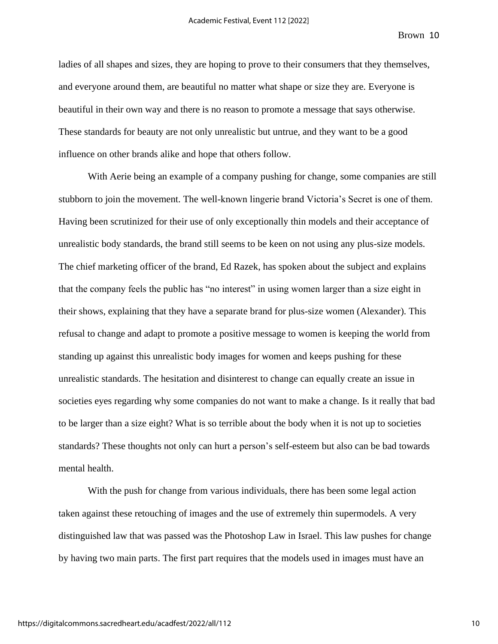ladies of all shapes and sizes, they are hoping to prove to their consumers that they themselves, and everyone around them, are beautiful no matter what shape or size they are. Everyone is beautiful in their own way and there is no reason to promote a message that says otherwise. These standards for beauty are not only unrealistic but untrue, and they want to be a good influence on other brands alike and hope that others follow.

With Aerie being an example of a company pushing for change, some companies are still stubborn to join the movement. The well-known lingerie brand Victoria's Secret is one of them. Having been scrutinized for their use of only exceptionally thin models and their acceptance of unrealistic body standards, the brand still seems to be keen on not using any plus-size models. The chief marketing officer of the brand, Ed Razek, has spoken about the subject and explains that the company feels the public has "no interest" in using women larger than a size eight in their shows, explaining that they have a separate brand for plus-size women (Alexander). This refusal to change and adapt to promote a positive message to women is keeping the world from standing up against this unrealistic body images for women and keeps pushing for these unrealistic standards. The hesitation and disinterest to change can equally create an issue in societies eyes regarding why some companies do not want to make a change. Is it really that bad to be larger than a size eight? What is so terrible about the body when it is not up to societies standards? These thoughts not only can hurt a person's self-esteem but also can be bad towards mental health.

With the push for change from various individuals, there has been some legal action taken against these retouching of images and the use of extremely thin supermodels. A very distinguished law that was passed was the Photoshop Law in Israel. This law pushes for change by having two main parts. The first part requires that the models used in images must have an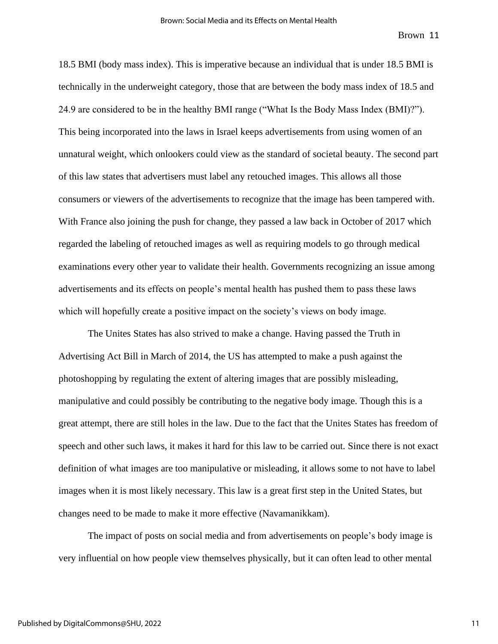18.5 BMI (body mass index). This is imperative because an individual that is under 18.5 BMI is technically in the underweight category, those that are between the body mass index of 18.5 and 24.9 are considered to be in the healthy BMI range ("What Is the Body Mass Index (BMI)?"). This being incorporated into the laws in Israel keeps advertisements from using women of an unnatural weight, which onlookers could view as the standard of societal beauty. The second part of this law states that advertisers must label any retouched images. This allows all those consumers or viewers of the advertisements to recognize that the image has been tampered with. With France also joining the push for change, they passed a law back in October of 2017 which regarded the labeling of retouched images as well as requiring models to go through medical examinations every other year to validate their health. Governments recognizing an issue among advertisements and its effects on people's mental health has pushed them to pass these laws which will hopefully create a positive impact on the society's views on body image.

The Unites States has also strived to make a change. Having passed the Truth in Advertising Act Bill in March of 2014, the US has attempted to make a push against the photoshopping by regulating the extent of altering images that are possibly misleading, manipulative and could possibly be contributing to the negative body image. Though this is a great attempt, there are still holes in the law. Due to the fact that the Unites States has freedom of speech and other such laws, it makes it hard for this law to be carried out. Since there is not exact definition of what images are too manipulative or misleading, it allows some to not have to label images when it is most likely necessary. This law is a great first step in the United States, but changes need to be made to make it more effective (Navamanikkam).

The impact of posts on social media and from advertisements on people's body image is very influential on how people view themselves physically, but it can often lead to other mental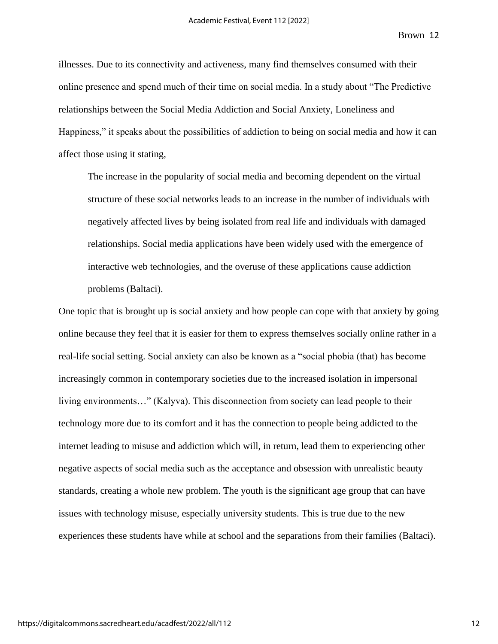illnesses. Due to its connectivity and activeness, many find themselves consumed with their online presence and spend much of their time on social media. In a study about "The Predictive relationships between the Social Media Addiction and Social Anxiety, Loneliness and Happiness," it speaks about the possibilities of addiction to being on social media and how it can affect those using it stating,

The increase in the popularity of social media and becoming dependent on the virtual structure of these social networks leads to an increase in the number of individuals with negatively affected lives by being isolated from real life and individuals with damaged relationships. Social media applications have been widely used with the emergence of interactive web technologies, and the overuse of these applications cause addiction problems (Baltaci).

One topic that is brought up is social anxiety and how people can cope with that anxiety by going online because they feel that it is easier for them to express themselves socially online rather in a real-life social setting. Social anxiety can also be known as a "social phobia (that) has become increasingly common in contemporary societies due to the increased isolation in impersonal living environments…" (Kalyva). This disconnection from society can lead people to their technology more due to its comfort and it has the connection to people being addicted to the internet leading to misuse and addiction which will, in return, lead them to experiencing other negative aspects of social media such as the acceptance and obsession with unrealistic beauty standards, creating a whole new problem. The youth is the significant age group that can have issues with technology misuse, especially university students. This is true due to the new experiences these students have while at school and the separations from their families (Baltaci).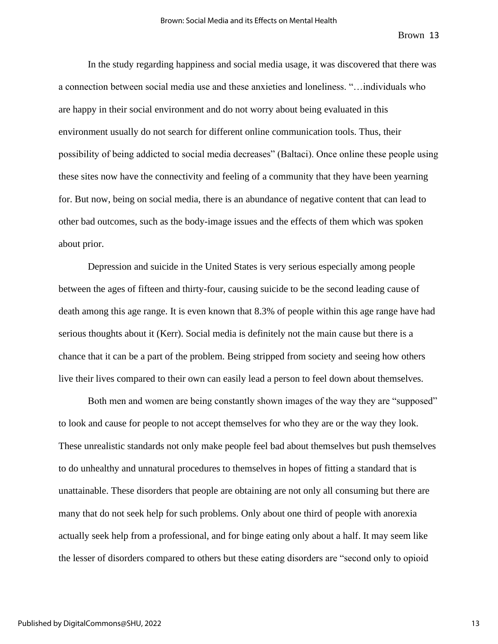In the study regarding happiness and social media usage, it was discovered that there was a connection between social media use and these anxieties and loneliness. "…individuals who are happy in their social environment and do not worry about being evaluated in this environment usually do not search for different online communication tools. Thus, their possibility of being addicted to social media decreases" (Baltaci). Once online these people using these sites now have the connectivity and feeling of a community that they have been yearning for. But now, being on social media, there is an abundance of negative content that can lead to other bad outcomes, such as the body-image issues and the effects of them which was spoken about prior.

Depression and suicide in the United States is very serious especially among people between the ages of fifteen and thirty-four, causing suicide to be the second leading cause of death among this age range. It is even known that 8.3% of people within this age range have had serious thoughts about it (Kerr). Social media is definitely not the main cause but there is a chance that it can be a part of the problem. Being stripped from society and seeing how others live their lives compared to their own can easily lead a person to feel down about themselves.

Both men and women are being constantly shown images of the way they are "supposed" to look and cause for people to not accept themselves for who they are or the way they look. These unrealistic standards not only make people feel bad about themselves but push themselves to do unhealthy and unnatural procedures to themselves in hopes of fitting a standard that is unattainable. These disorders that people are obtaining are not only all consuming but there are many that do not seek help for such problems. Only about one third of people with anorexia actually seek help from a professional, and for binge eating only about a half. It may seem like the lesser of disorders compared to others but these eating disorders are "second only to opioid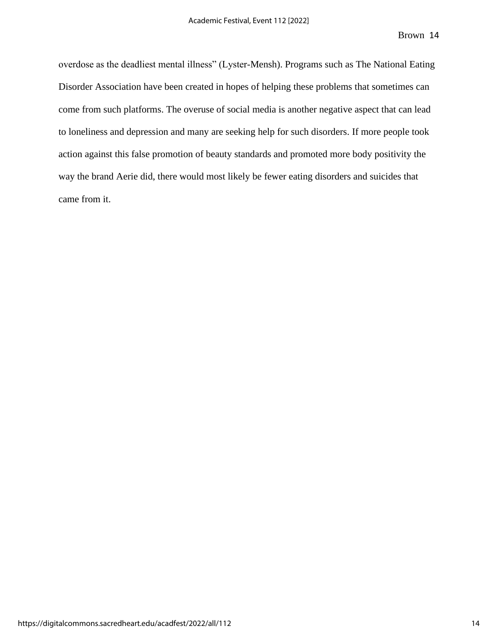overdose as the deadliest mental illness" (Lyster-Mensh). Programs such as The National Eating Disorder Association have been created in hopes of helping these problems that sometimes can come from such platforms. The overuse of social media is another negative aspect that can lead to loneliness and depression and many are seeking help for such disorders. If more people took action against this false promotion of beauty standards and promoted more body positivity the way the brand Aerie did, there would most likely be fewer eating disorders and suicides that came from it.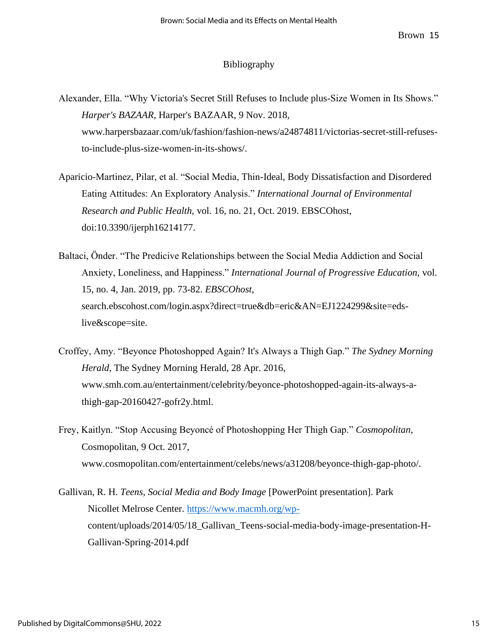## Bibliography

- Alexander, Ella. "Why Victoria's Secret Still Refuses to Include plus-Size Women in Its Shows." *Harper's BAZAAR*, Harper's BAZAAR, 9 Nov. 2018, www.harpersbazaar.com/uk/fashion/fashion-news/a24874811/victorias-secret-still-refusesto-include-plus-size-women-in-its-shows/.
- Aparicio-Martinez, Pilar, et al. "Social Media, Thin-Ideal, Body Dissatisfaction and Disordered Eating Attitudes: An Exploratory Analysis." *International Journal of Environmental Research and Public Health,* vol. 16, no. 21, Oct. 2019. EBSCOhost, doi:10.3390/ijerph16214177.
- Baltaci, Önder. "The Predicive Relationships between the Social Media Addiction and Social Anxiety, Loneliness, and Happiness." *International Journal of Progressive Education,* vol. 15, no. 4, Jan. 2019, pp. 73-82. *EBSCOhost,*  search.ebscohost.com/login.aspx?direct=true&db=eric&AN=EJ1224299&site=edslive&scope=site.
- Croffey, Amy. "Beyonce Photoshopped Again? It's Always a Thigh Gap." *The Sydney Morning Herald*, The Sydney Morning Herald, 28 Apr. 2016, www.smh.com.au/entertainment/celebrity/beyonce-photoshopped-again-its-always-athigh-gap-20160427-gofr2y.html.
- Frey, Kaitlyn. "Stop Accusing Beyoncé of Photoshopping Her Thigh Gap." *Cosmopolitan*, Cosmopolitan, 9 Oct. 2017, www.cosmopolitan.com/entertainment/celebs/news/a31208/beyonce-thigh-gap-photo/.
- Gallivan, R. H. *Teens, Social Media and Body Image* [PowerPoint presentation]. Park Nicollet Melrose Center. [https://www.macmh.org/wp](https://www.macmh.org/wp-)content/uploads/2014/05/18\_Gallivan\_Teens-social-media-body-image-presentation-H-Gallivan-Spring-2014.pdf